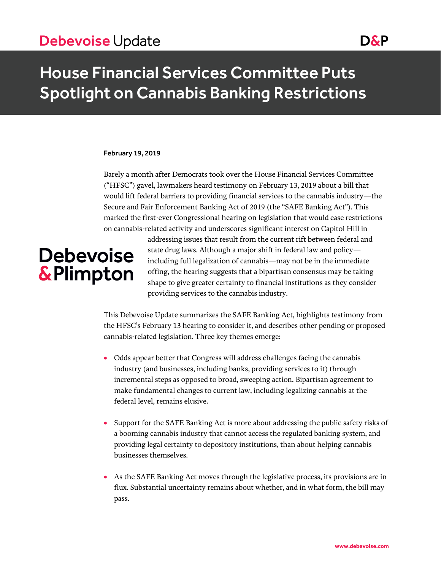## House Financial Services Committee Puts Spotlight on Cannabis Banking Restrictions

### February 19, 2019

Barely a month after Democrats took over the House Financial Services Committee ("HFSC") gavel, lawmakers heard testimony on February 13, 2019 about a bill that would lift federal barriers to providing financial services to the cannabis industry—the Secure and Fair Enforcement Banking Act of 2019 (the "SAFE Banking Act"). This marked the first-ever Congressional hearing on legislation that would ease restrictions on cannabis-related activity and underscores significant interest on Capitol Hill in

# **Debevoise** & Plimpton

addressing issues that result from the current rift between federal and state drug laws. Although a major shift in federal law and policy including full legalization of cannabis—may not be in the immediate offing, the hearing suggests that a bipartisan consensus may be taking shape to give greater certainty to financial institutions as they consider providing services to the cannabis industry.

This Debevoise Update summarizes the SAFE Banking Act, highlights testimony from the HFSC's February 13 hearing to consider it, and describes other pending or proposed cannabis-related legislation. Three key themes emerge:

- Odds appear better that Congress will address challenges facing the cannabis industry (and businesses, including banks, providing services to it) through incremental steps as opposed to broad, sweeping action. Bipartisan agreement to make fundamental changes to current law, including legalizing cannabis at the federal level, remains elusive.
- Support for the SAFE Banking Act is more about addressing the public safety risks of a booming cannabis industry that cannot access the regulated banking system, and providing legal certainty to depository institutions, than about helping cannabis businesses themselves.
- As the SAFE Banking Act moves through the legislative process, its provisions are in flux. Substantial uncertainty remains about whether, and in what form, the bill may pass.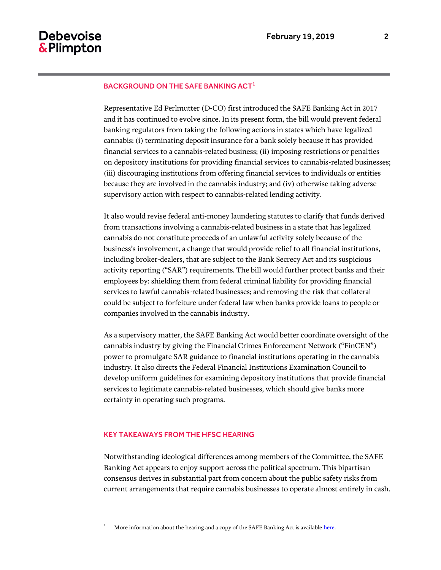#### BACKGROUND ON THE SAFE BANKING ACT<sup>1</sup>

Representative Ed Perlmutter (D-CO) first introduced the SAFE Banking Act in 2017 and it has continued to evolve since. In its present form, the bill would prevent federal banking regulators from taking the following actions in states which have legalized cannabis: (i) terminating deposit insurance for a bank solely because it has provided financial services to a cannabis-related business; (ii) imposing restrictions or penalties on depository institutions for providing financial services to cannabis-related businesses; (iii) discouraging institutions from offering financial services to individuals or entities because they are involved in the cannabis industry; and (iv) otherwise taking adverse supervisory action with respect to cannabis-related lending activity.

It also would revise federal anti-money laundering statutes to clarify that funds derived from transactions involving a cannabis-related business in a state that has legalized cannabis do not constitute proceeds of an unlawful activity solely because of the business's involvement, a change that would provide relief to all financial institutions, including broker-dealers, that are subject to the Bank Secrecy Act and its suspicious activity reporting ("SAR") requirements. The bill would further protect banks and their employees by: shielding them from federal criminal liability for providing financial services to lawful cannabis-related businesses; and removing the risk that collateral could be subject to forfeiture under federal law when banks provide loans to people or companies involved in the cannabis industry.

As a supervisory matter, the SAFE Banking Act would better coordinate oversight of the cannabis industry by giving the Financial Crimes Enforcement Network ("FinCEN") power to promulgate SAR guidance to financial institutions operating in the cannabis industry. It also directs the Federal Financial Institutions Examination Council to develop uniform guidelines for examining depository institutions that provide financial services to legitimate cannabis-related businesses, which should give banks more certainty in operating such programs.

### KEY TAKEAWAYS FROM THE HFSC HEARING

 $\overline{a}$ 

Notwithstanding ideological differences among members of the Committee, the SAFE Banking Act appears to enjoy support across the political spectrum. This bipartisan consensus derives in substantial part from concern about the public safety risks from current arrangements that require cannabis businesses to operate almost entirely in cash.

More information about the hearing and a copy of the SAFE Banking Act is availabl[e here.](https://financialservices.house.gov/calendar/eventsingle.aspx?EventID=402094)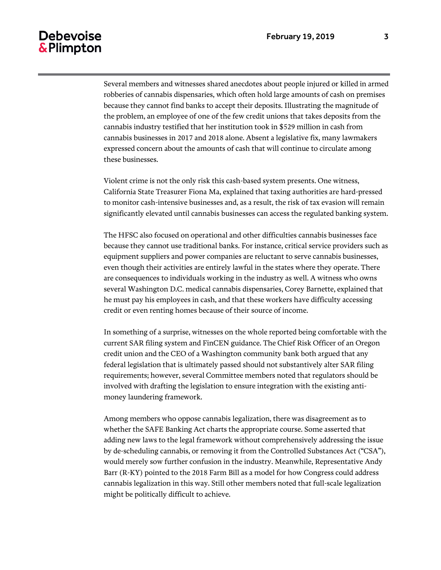### **Debevoise** & Plimpton

Several members and witnesses shared anecdotes about people injured or killed in armed robberies of cannabis dispensaries, which often hold large amounts of cash on premises because they cannot find banks to accept their deposits. Illustrating the magnitude of the problem, an employee of one of the few credit unions that takes deposits from the cannabis industry testified that her institution took in \$529 million in cash from cannabis businesses in 2017 and 2018 alone. Absent a legislative fix, many lawmakers expressed concern about the amounts of cash that will continue to circulate among these businesses.

Violent crime is not the only risk this cash-based system presents. One witness, California State Treasurer Fiona Ma, explained that taxing authorities are hard-pressed to monitor cash-intensive businesses and, as a result, the risk of tax evasion will remain significantly elevated until cannabis businesses can access the regulated banking system.

The HFSC also focused on operational and other difficulties cannabis businesses face because they cannot use traditional banks. For instance, critical service providers such as equipment suppliers and power companies are reluctant to serve cannabis businesses, even though their activities are entirely lawful in the states where they operate. There are consequences to individuals working in the industry as well. A witness who owns several Washington D.C. medical cannabis dispensaries, Corey Barnette, explained that he must pay his employees in cash, and that these workers have difficulty accessing credit or even renting homes because of their source of income.

In something of a surprise, witnesses on the whole reported being comfortable with the current SAR filing system and FinCEN guidance. The Chief Risk Officer of an Oregon credit union and the CEO of a Washington community bank both argued that any federal legislation that is ultimately passed should not substantively alter SAR filing requirements; however, several Committee members noted that regulators should be involved with drafting the legislation to ensure integration with the existing antimoney laundering framework.

Among members who oppose cannabis legalization, there was disagreement as to whether the SAFE Banking Act charts the appropriate course. Some asserted that adding new laws to the legal framework without comprehensively addressing the issue by de-scheduling cannabis, or removing it from the Controlled Substances Act ("CSA"), would merely sow further confusion in the industry. Meanwhile, Representative Andy Barr (R-KY) pointed to the 2018 Farm Bill as a model for how Congress could address cannabis legalization in this way. Still other members noted that full-scale legalization might be politically difficult to achieve.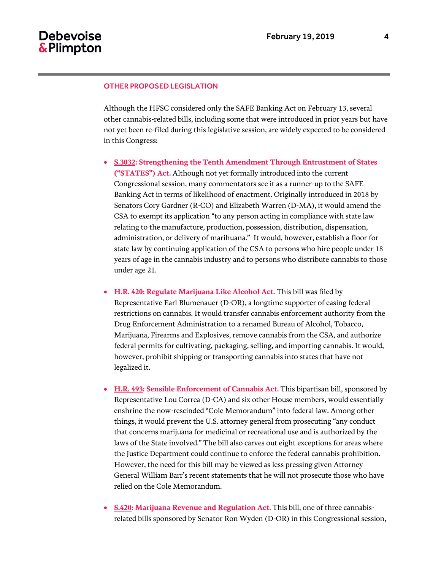### OTHER PROPOSED LEGISLATION

Although the HFSC considered only the SAFE Banking Act on February 13, several other cannabis-related bills, including some that were introduced in prior years but have not yet been re-filed during this legislative session, are widely expected to be considered in this Congress:

- **S.3032: Strengthening the Tenth Amendment Through Entrustment of States ("STATES") Act.** Although not yet formally introduced into the current Congressional session, many commentators see it as a runner-up to the SAFE Banking Act in terms of likelihood of enactment. Originally introduced in 2018 by Senators Cory Gardner (R-CO) and Elizabeth Warren (D-MA), it would amend the CSA to exempt its application "to any person acting in compliance with state law relating to the manufacture, production, possession, distribution, dispensation, administration, or delivery of marihuana." It would, however, establish a floor for state law by continuing application of the CSA to persons who hire people under 18 years of age in the cannabis industry and to persons who distribute cannabis to those under age 21.
- **H.R. 420: Regulate Marijuana Like Alcohol Act.** This bill was filed by Representative Earl Blumenauer (D-OR), a longtime supporter of easing federal restrictions on cannabis. It would transfer cannabis enforcement authority from the Drug Enforcement Administration to a renamed Bureau of Alcohol, Tobacco, Marijuana, Firearms and Explosives, remove cannabis from the CSA, and authorize federal permits for cultivating, packaging, selling, and importing cannabis. It would, however, prohibit shipping or transporting cannabis into states that have not legalized it.
- **H.R. 493: Sensible Enforcement of Cannabis Act.** This bipartisan bill, sponsored by Representative Lou Correa (D-CA) and six other House members, would essentially enshrine the now-rescinded "Cole Memorandum" into federal law. Among other things, it would prevent the U.S. attorney general from prosecuting "any conduct that concerns marijuana for medicinal or recreational use and is authorized by the laws of the State involved." The bill also carves out eight exceptions for areas where the Justice Department could continue to enforce the federal cannabis prohibition. However, the need for this bill may be viewed as less pressing given Attorney General William Barr's recent statements that he will not prosecute those who have relied on the Cole Memorandum.
- **S.420: Marijuana Revenue and Regulation Act.** This bill, one of three cannabisrelated bills sponsored by Senator Ron Wyden (D-OR) in this Congressional session,